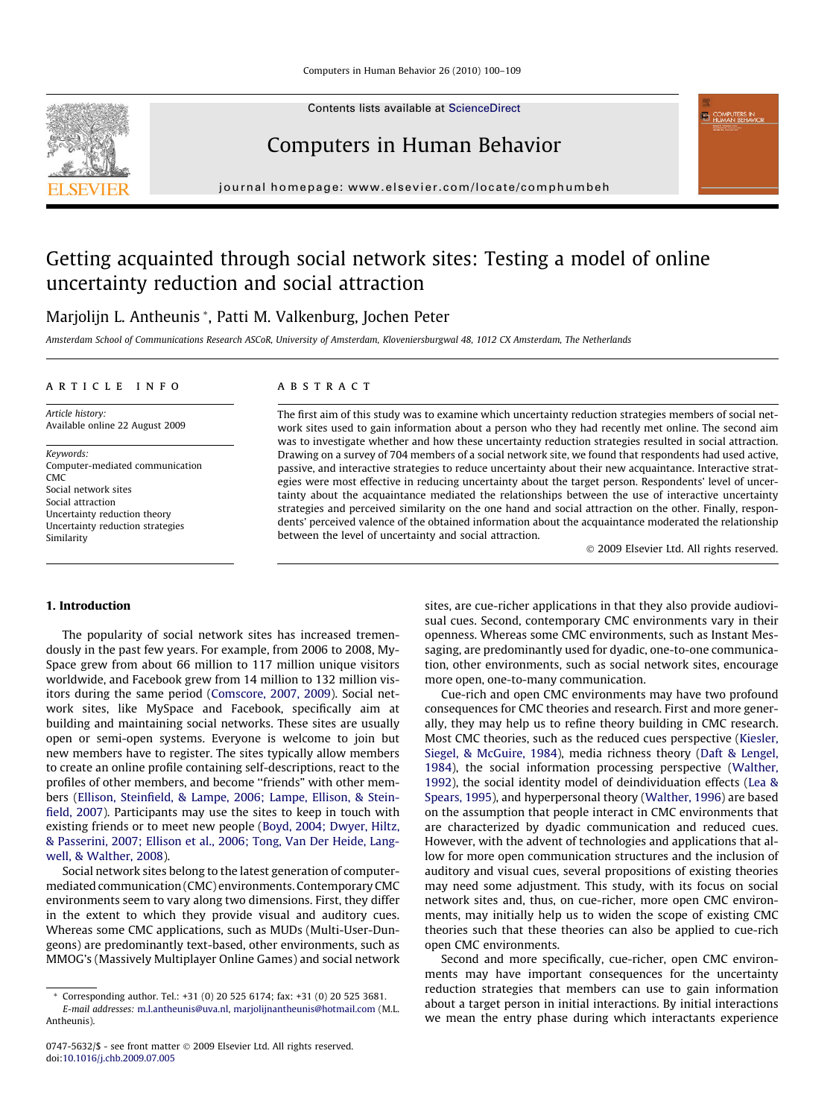Contents lists available at [ScienceDirect](http://www.sciencedirect.com/science/journal/07475632)



Computers in Human Behavior

journal homepage: [www.elsevier.com/locate/comphumbeh](http://www.elsevier.com/locate/comphumbeh)

# Getting acquainted through social network sites: Testing a model of online uncertainty reduction and social attraction

Marjolijn L. Antheunis \*, Patti M. Valkenburg, Jochen Peter

Amsterdam School of Communications Research ASCoR, University of Amsterdam, Kloveniersburgwal 48, 1012 CX Amsterdam, The Netherlands

## article info

Article history: Available online 22 August 2009

Keywords: Computer-mediated communication CMC Social network sites Social attraction Uncertainty reduction theory Uncertainty reduction strategies Similarity

# ABSTRACT

The first aim of this study was to examine which uncertainty reduction strategies members of social network sites used to gain information about a person who they had recently met online. The second aim was to investigate whether and how these uncertainty reduction strategies resulted in social attraction. Drawing on a survey of 704 members of a social network site, we found that respondents had used active, passive, and interactive strategies to reduce uncertainty about their new acquaintance. Interactive strategies were most effective in reducing uncertainty about the target person. Respondents' level of uncertainty about the acquaintance mediated the relationships between the use of interactive uncertainty strategies and perceived similarity on the one hand and social attraction on the other. Finally, respondents' perceived valence of the obtained information about the acquaintance moderated the relationship between the level of uncertainty and social attraction.

- 2009 Elsevier Ltd. All rights reserved.

#### 1. Introduction

The popularity of social network sites has increased tremendously in the past few years. For example, from 2006 to 2008, My-Space grew from about 66 million to 117 million unique visitors worldwide, and Facebook grew from 14 million to 132 million visitors during the same period [\(Comscore, 2007, 2009\)](#page-8-0). Social network sites, like MySpace and Facebook, specifically aim at building and maintaining social networks. These sites are usually open or semi-open systems. Everyone is welcome to join but new members have to register. The sites typically allow members to create an online profile containing self-descriptions, react to the profiles of other members, and become "friends" with other members [\(Ellison, Steinfield, & Lampe, 2006; Lampe, Ellison, & Stein](#page-8-0)[field, 2007](#page-8-0)). Participants may use the sites to keep in touch with existing friends or to meet new people [\(Boyd, 2004; Dwyer, Hiltz,](#page-8-0) [& Passerini, 2007; Ellison et al., 2006; Tong, Van Der Heide, Lang](#page-8-0)[well, & Walther, 2008\)](#page-8-0).

Social network sites belong to the latest generation of computermediated communication (CMC) environments. Contemporary CMC environments seem to vary along two dimensions. First, they differ in the extent to which they provide visual and auditory cues. Whereas some CMC applications, such as MUDs (Multi-User-Dungeons) are predominantly text-based, other environments, such as MMOG's (Massively Multiplayer Online Games) and social network sites, are cue-richer applications in that they also provide audiovisual cues. Second, contemporary CMC environments vary in their openness. Whereas some CMC environments, such as Instant Messaging, are predominantly used for dyadic, one-to-one communication, other environments, such as social network sites, encourage more open, one-to-many communication.

Cue-rich and open CMC environments may have two profound consequences for CMC theories and research. First and more generally, they may help us to refine theory building in CMC research. Most CMC theories, such as the reduced cues perspective [\(Kiesler,](#page-8-0) [Siegel, & McGuire, 1984\)](#page-8-0), media richness theory [\(Daft & Lengel,](#page-8-0) [1984\)](#page-8-0), the social information processing perspective [\(Walther,](#page-9-0) [1992\)](#page-9-0), the social identity model of deindividuation effects [\(Lea &](#page-8-0) [Spears, 1995](#page-8-0)), and hyperpersonal theory [\(Walther, 1996](#page-9-0)) are based on the assumption that people interact in CMC environments that are characterized by dyadic communication and reduced cues. However, with the advent of technologies and applications that allow for more open communication structures and the inclusion of auditory and visual cues, several propositions of existing theories may need some adjustment. This study, with its focus on social network sites and, thus, on cue-richer, more open CMC environments, may initially help us to widen the scope of existing CMC theories such that these theories can also be applied to cue-rich open CMC environments.

Second and more specifically, cue-richer, open CMC environments may have important consequences for the uncertainty reduction strategies that members can use to gain information about a target person in initial interactions. By initial interactions we mean the entry phase during which interactants experience

<sup>\*</sup> Corresponding author. Tel.: +31 (0) 20 525 6174; fax: +31 (0) 20 525 3681. E-mail addresses: [m.l.antheunis@uva.nl](mailto:m.l.antheunis@uva.nl), [marjolijnantheunis@hotmail.com](mailto:marjolijnantheunis@hotmail.com) (M.L. Antheunis).

<sup>0747-5632/\$ -</sup> see front matter © 2009 Elsevier Ltd. All rights reserved. doi:[10.1016/j.chb.2009.07.005](http://dx.doi.org/10.1016/j.chb.2009.07.005)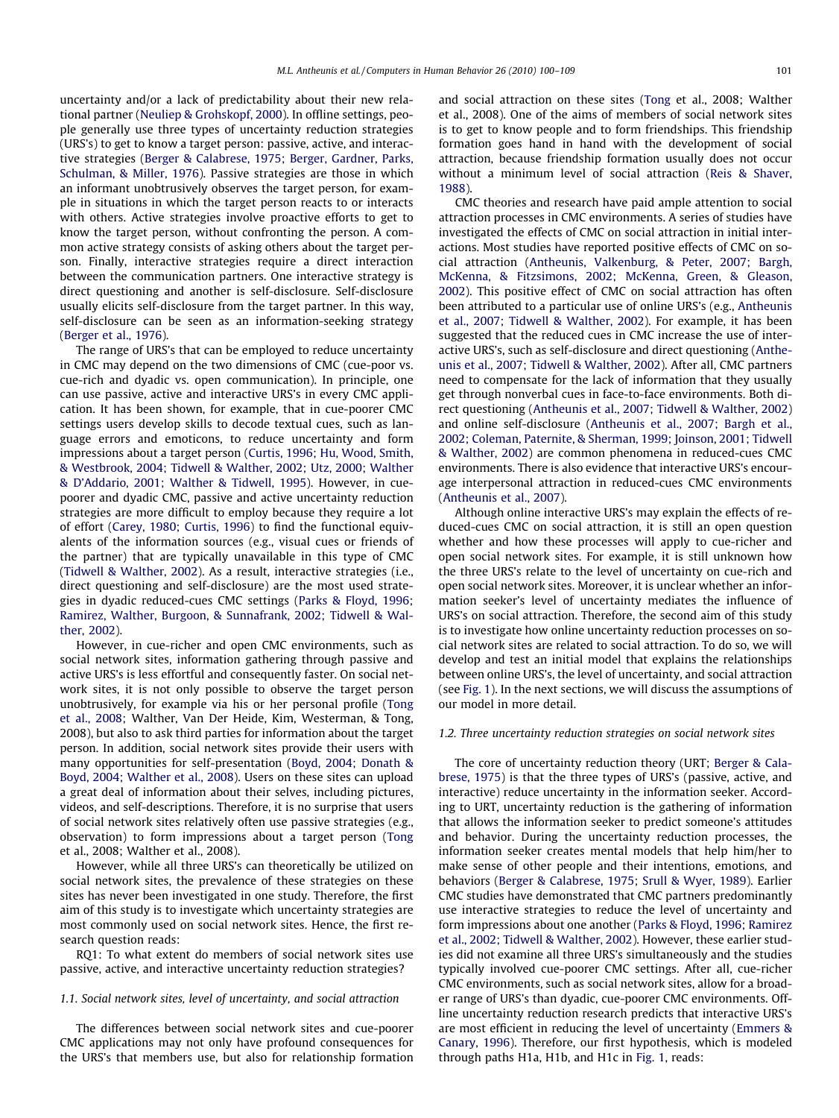uncertainty and/or a lack of predictability about their new relational partner ([Neuliep & Grohskopf, 2000](#page-8-0)). In offline settings, people generally use three types of uncertainty reduction strategies (URS's) to get to know a target person: passive, active, and interactive strategies ([Berger & Calabrese, 1975; Berger, Gardner, Parks,](#page-8-0) [Schulman, & Miller, 1976](#page-8-0)). Passive strategies are those in which an informant unobtrusively observes the target person, for example in situations in which the target person reacts to or interacts with others. Active strategies involve proactive efforts to get to know the target person, without confronting the person. A common active strategy consists of asking others about the target person. Finally, interactive strategies require a direct interaction between the communication partners. One interactive strategy is direct questioning and another is self-disclosure. Self-disclosure usually elicits self-disclosure from the target partner. In this way, self-disclosure can be seen as an information-seeking strategy ([Berger et al., 1976\)](#page-8-0).

The range of URS's that can be employed to reduce uncertainty in CMC may depend on the two dimensions of CMC (cue-poor vs. cue-rich and dyadic vs. open communication). In principle, one can use passive, active and interactive URS's in every CMC application. It has been shown, for example, that in cue-poorer CMC settings users develop skills to decode textual cues, such as language errors and emoticons, to reduce uncertainty and form impressions about a target person ([Curtis, 1996; Hu, Wood, Smith,](#page-8-0) [& Westbrook, 2004; Tidwell & Walther, 2002; Utz, 2000; Walther](#page-8-0) [& D'Addario, 2001; Walther & Tidwell, 1995\)](#page-8-0). However, in cuepoorer and dyadic CMC, passive and active uncertainty reduction strategies are more difficult to employ because they require a lot of effort ([Carey, 1980; Curtis, 1996\)](#page-8-0) to find the functional equivalents of the information sources (e.g., visual cues or friends of the partner) that are typically unavailable in this type of CMC ([Tidwell & Walther, 2002](#page-8-0)). As a result, interactive strategies (i.e., direct questioning and self-disclosure) are the most used strategies in dyadic reduced-cues CMC settings [\(Parks & Floyd, 1996;](#page-8-0) [Ramirez, Walther, Burgoon, & Sunnafrank, 2002; Tidwell & Wal](#page-8-0)[ther, 2002\)](#page-8-0).

However, in cue-richer and open CMC environments, such as social network sites, information gathering through passive and active URS's is less effortful and consequently faster. On social network sites, it is not only possible to observe the target person unobtrusively, for example via his or her personal profile [\(Tong](#page-9-0) [et al., 2008;](#page-9-0) Walther, Van Der Heide, Kim, Westerman, & Tong, 2008), but also to ask third parties for information about the target person. In addition, social network sites provide their users with many opportunities for self-presentation ([Boyd, 2004; Donath &](#page-8-0) [Boyd, 2004; Walther et al., 2008](#page-8-0)). Users on these sites can upload a great deal of information about their selves, including pictures, videos, and self-descriptions. Therefore, it is no surprise that users of social network sites relatively often use passive strategies (e.g., observation) to form impressions about a target person [\(Tong](#page-9-0) et al., 2008; Walther et al., 2008).

However, while all three URS's can theoretically be utilized on social network sites, the prevalence of these strategies on these sites has never been investigated in one study. Therefore, the first aim of this study is to investigate which uncertainty strategies are most commonly used on social network sites. Hence, the first research question reads:

RQ1: To what extent do members of social network sites use passive, active, and interactive uncertainty reduction strategies?

## 1.1. Social network sites, level of uncertainty, and social attraction

The differences between social network sites and cue-poorer CMC applications may not only have profound consequences for the URS's that members use, but also for relationship formation

and social attraction on these sites ([Tong](#page-9-0) et al., 2008; Walther et al., 2008). One of the aims of members of social network sites is to get to know people and to form friendships. This friendship formation goes hand in hand with the development of social attraction, because friendship formation usually does not occur without a minimum level of social attraction [\(Reis & Shaver,](#page-8-0) [1988\)](#page-8-0).

CMC theories and research have paid ample attention to social attraction processes in CMC environments. A series of studies have investigated the effects of CMC on social attraction in initial interactions. Most studies have reported positive effects of CMC on social attraction [\(Antheunis, Valkenburg, & Peter, 2007; Bargh,](#page-8-0) [McKenna, & Fitzsimons, 2002; McKenna, Green, & Gleason,](#page-8-0) [2002](#page-8-0)). This positive effect of CMC on social attraction has often been attributed to a particular use of online URS's (e.g., [Antheunis](#page-8-0) et al., [2007; Tidwell & Walther, 2002](#page-8-0)). For example, it has been suggested that the reduced cues in CMC increase the use of interactive URS's, such as self-disclosure and direct questioning ([Anthe](#page-8-0)[unis et al., 2007; Tidwell & Walther, 2002](#page-8-0)). After all, CMC partners need to compensate for the lack of information that they usually get through nonverbal cues in face-to-face environments. Both direct questioning ([Antheunis et al., 2007; Tidwell & Walther, 2002\)](#page-8-0) and online self-disclosure [\(Antheunis et al., 2007; Bargh et al.,](#page-8-0) [2002; Coleman, Paternite, & Sherman, 1999; Joinson, 2001; Tidwell](#page-8-0) [& Walther, 2002](#page-8-0)) are common phenomena in reduced-cues CMC environments. There is also evidence that interactive URS's encourage interpersonal attraction in reduced-cues CMC environments ([Antheunis et al., 2007\)](#page-8-0).

Although online interactive URS's may explain the effects of reduced-cues CMC on social attraction, it is still an open question whether and how these processes will apply to cue-richer and open social network sites. For example, it is still unknown how the three URS's relate to the level of uncertainty on cue-rich and open social network sites. Moreover, it is unclear whether an information seeker's level of uncertainty mediates the influence of URS's on social attraction. Therefore, the second aim of this study is to investigate how online uncertainty reduction processes on social network sites are related to social attraction. To do so, we will develop and test an initial model that explains the relationships between online URS's, the level of uncertainty, and social attraction (see [Fig. 1\)](#page-2-0). In the next sections, we will discuss the assumptions of our model in more detail.

## 1.2. Three uncertainty reduction strategies on social network sites

The core of uncertainty reduction theory (URT; [Berger & Cala](#page-8-0)[brese, 1975\)](#page-8-0) is that the three types of URS's (passive, active, and interactive) reduce uncertainty in the information seeker. According to URT, uncertainty reduction is the gathering of information that allows the information seeker to predict someone's attitudes and behavior. During the uncertainty reduction processes, the information seeker creates mental models that help him/her to make sense of other people and their intentions, emotions, and behaviors [\(Berger & Calabrese, 1975; Srull & Wyer, 1989\)](#page-8-0). Earlier CMC studies have demonstrated that CMC partners predominantly use interactive strategies to reduce the level of uncertainty and form impressions about one another [\(Parks & Floyd, 1996; Ramirez](#page-8-0) [et al., 2002; Tidwell & Walther, 2002](#page-8-0)). However, these earlier studies did not examine all three URS's simultaneously and the studies typically involved cue-poorer CMC settings. After all, cue-richer CMC environments, such as social network sites, allow for a broader range of URS's than dyadic, cue-poorer CMC environments. Offline uncertainty reduction research predicts that interactive URS's are most efficient in reducing the level of uncertainty [\(Emmers &](#page-8-0) [Canary, 1996](#page-8-0)). Therefore, our first hypothesis, which is modeled through paths H1a, H1b, and H1c in [Fig. 1](#page-2-0), reads: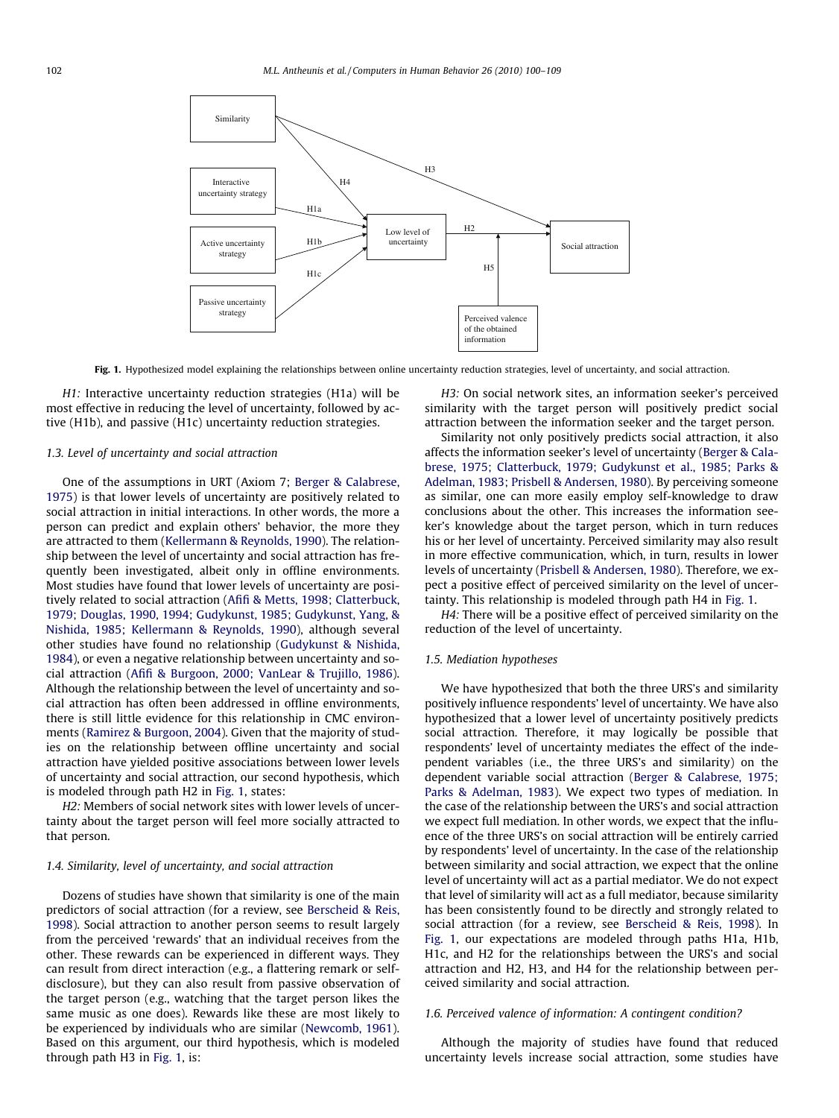<span id="page-2-0"></span>

Fig. 1. Hypothesized model explaining the relationships between online uncertainty reduction strategies, level of uncertainty, and social attraction.

H1: Interactive uncertainty reduction strategies (H1a) will be most effective in reducing the level of uncertainty, followed by active (H1b), and passive (H1c) uncertainty reduction strategies.

## 1.3. Level of uncertainty and social attraction

One of the assumptions in URT (Axiom 7; [Berger & Calabrese,](#page-8-0) [1975\)](#page-8-0) is that lower levels of uncertainty are positively related to social attraction in initial interactions. In other words, the more a person can predict and explain others' behavior, the more they are attracted to them [\(Kellermann & Reynolds, 1990](#page-8-0)). The relationship between the level of uncertainty and social attraction has frequently been investigated, albeit only in offline environments. Most studies have found that lower levels of uncertainty are positively related to social attraction ([Afifi & Metts, 1998; Clatterbuck,](#page-8-0) [1979; Douglas, 1990, 1994; Gudykunst, 1985; Gudykunst, Yang, &](#page-8-0) [Nishida, 1985; Kellermann & Reynolds, 1990](#page-8-0)), although several other studies have found no relationship [\(Gudykunst & Nishida,](#page-8-0) [1984\)](#page-8-0), or even a negative relationship between uncertainty and social attraction ([Afifi & Burgoon, 2000; VanLear & Trujillo, 1986\)](#page-7-0). Although the relationship between the level of uncertainty and social attraction has often been addressed in offline environments, there is still little evidence for this relationship in CMC environments [\(Ramirez & Burgoon, 2004](#page-8-0)). Given that the majority of studies on the relationship between offline uncertainty and social attraction have yielded positive associations between lower levels of uncertainty and social attraction, our second hypothesis, which is modeled through path H2 in Fig. 1, states:

H2: Members of social network sites with lower levels of uncertainty about the target person will feel more socially attracted to that person.

## 1.4. Similarity, level of uncertainty, and social attraction

Dozens of studies have shown that similarity is one of the main predictors of social attraction (for a review, see [Berscheid & Reis,](#page-8-0) [1998\)](#page-8-0). Social attraction to another person seems to result largely from the perceived 'rewards' that an individual receives from the other. These rewards can be experienced in different ways. They can result from direct interaction (e.g., a flattering remark or selfdisclosure), but they can also result from passive observation of the target person (e.g., watching that the target person likes the same music as one does). Rewards like these are most likely to be experienced by individuals who are similar ([Newcomb, 1961\)](#page-8-0). Based on this argument, our third hypothesis, which is modeled through path H3 in Fig. 1, is:

H3: On social network sites, an information seeker's perceived similarity with the target person will positively predict social attraction between the information seeker and the target person.

Similarity not only positively predicts social attraction, it also affects the information seeker's level of uncertainty [\(Berger & Cala](#page-8-0)[brese, 1975; Clatterbuck, 1979; Gudykunst et al., 1985; Parks &](#page-8-0) [Adelman, 1983; Prisbell & Andersen, 1980](#page-8-0)). By perceiving someone as similar, one can more easily employ self-knowledge to draw conclusions about the other. This increases the information seeker's knowledge about the target person, which in turn reduces his or her level of uncertainty. Perceived similarity may also result in more effective communication, which, in turn, results in lower levels of uncertainty ([Prisbell & Andersen, 1980](#page-8-0)). Therefore, we expect a positive effect of perceived similarity on the level of uncertainty. This relationship is modeled through path H4 in Fig. 1.

H4: There will be a positive effect of perceived similarity on the reduction of the level of uncertainty.

## 1.5. Mediation hypotheses

We have hypothesized that both the three URS's and similarity positively influence respondents' level of uncertainty. We have also hypothesized that a lower level of uncertainty positively predicts social attraction. Therefore, it may logically be possible that respondents' level of uncertainty mediates the effect of the independent variables (i.e., the three URS's and similarity) on the dependent variable social attraction [\(Berger & Calabrese, 1975;](#page-8-0) [Parks & Adelman, 1983\)](#page-8-0). We expect two types of mediation. In the case of the relationship between the URS's and social attraction we expect full mediation. In other words, we expect that the influence of the three URS's on social attraction will be entirely carried by respondents' level of uncertainty. In the case of the relationship between similarity and social attraction, we expect that the online level of uncertainty will act as a partial mediator. We do not expect that level of similarity will act as a full mediator, because similarity has been consistently found to be directly and strongly related to social attraction (for a review, see [Berscheid & Reis, 1998\)](#page-8-0). In Fig. 1, our expectations are modeled through paths H1a, H1b, H1c, and H2 for the relationships between the URS's and social attraction and H2, H3, and H4 for the relationship between perceived similarity and social attraction.

## 1.6. Perceived valence of information: A contingent condition?

Although the majority of studies have found that reduced uncertainty levels increase social attraction, some studies have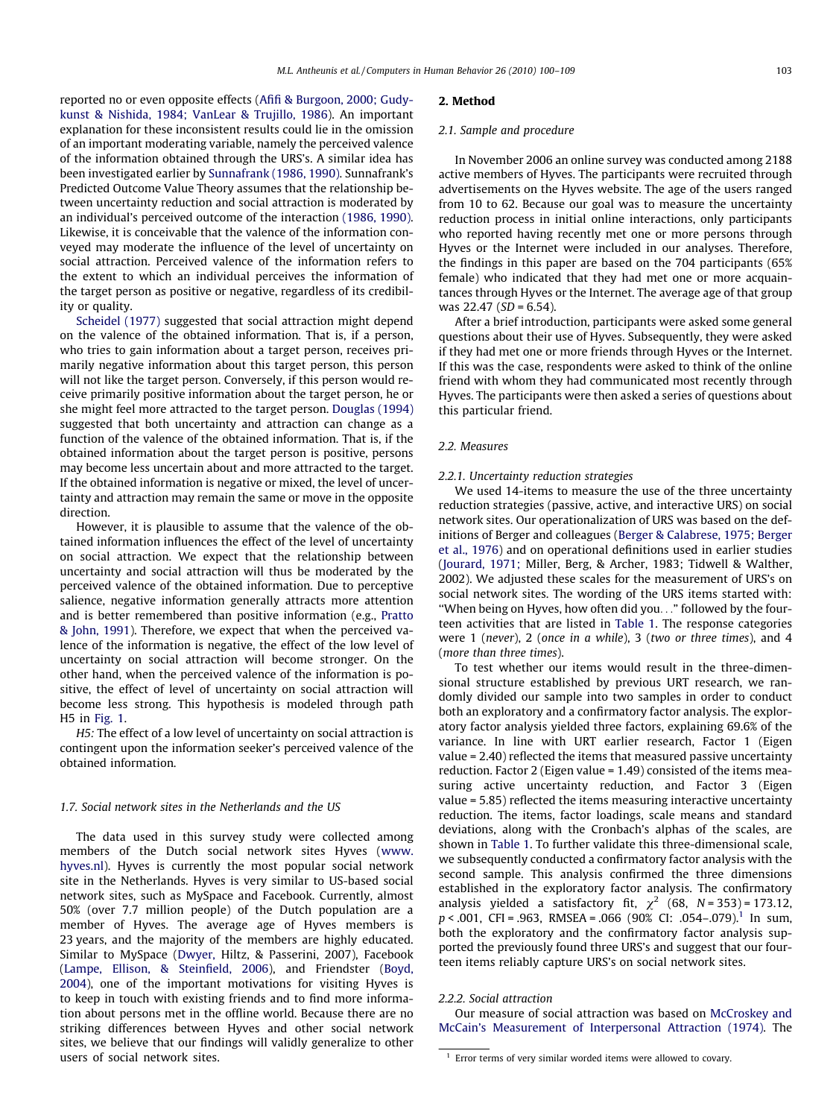reported no or even opposite effects [\(Afifi & Burgoon, 2000; Gudy](#page-7-0)[kunst & Nishida, 1984; VanLear & Trujillo, 1986\)](#page-7-0). An important explanation for these inconsistent results could lie in the omission of an important moderating variable, namely the perceived valence of the information obtained through the URS's. A similar idea has been investigated earlier by [Sunnafrank \(1986, 1990\)](#page-8-0). Sunnafrank's Predicted Outcome Value Theory assumes that the relationship between uncertainty reduction and social attraction is moderated by an individual's perceived outcome of the interaction [\(1986, 1990\).](#page-8-0) Likewise, it is conceivable that the valence of the information conveyed may moderate the influence of the level of uncertainty on social attraction. Perceived valence of the information refers to the extent to which an individual perceives the information of the target person as positive or negative, regardless of its credibility or quality.

[Scheidel \(1977\)](#page-8-0) suggested that social attraction might depend on the valence of the obtained information. That is, if a person, who tries to gain information about a target person, receives primarily negative information about this target person, this person will not like the target person. Conversely, if this person would receive primarily positive information about the target person, he or she might feel more attracted to the target person. [Douglas \(1994\)](#page-8-0) suggested that both uncertainty and attraction can change as a function of the valence of the obtained information. That is, if the obtained information about the target person is positive, persons may become less uncertain about and more attracted to the target. If the obtained information is negative or mixed, the level of uncertainty and attraction may remain the same or move in the opposite direction.

However, it is plausible to assume that the valence of the obtained information influences the effect of the level of uncertainty on social attraction. We expect that the relationship between uncertainty and social attraction will thus be moderated by the perceived valence of the obtained information. Due to perceptive salience, negative information generally attracts more attention and is better remembered than positive information (e.g., [Pratto](#page-8-0) [& John, 1991](#page-8-0)). Therefore, we expect that when the perceived valence of the information is negative, the effect of the low level of uncertainty on social attraction will become stronger. On the other hand, when the perceived valence of the information is positive, the effect of level of uncertainty on social attraction will become less strong. This hypothesis is modeled through path H5 in [Fig. 1](#page-2-0).

H5: The effect of a low level of uncertainty on social attraction is contingent upon the information seeker's perceived valence of the obtained information.

## 1.7. Social network sites in the Netherlands and the US

The data used in this survey study were collected among members of the Dutch social network sites Hyves ([www.](http://www.hyves.nl) [hyves.nl\)](http://www.hyves.nl). Hyves is currently the most popular social network site in the Netherlands. Hyves is very similar to US-based social network sites, such as MySpace and Facebook. Currently, almost 50% (over 7.7 million people) of the Dutch population are a member of Hyves. The average age of Hyves members is 23 years, and the majority of the members are highly educated. Similar to MySpace [\(Dwyer,](#page-8-0) Hiltz, & Passerini, 2007), Facebook ([Lampe, Ellison, & Steinfield, 2006\)](#page-8-0), and Friendster ([Boyd,](#page-8-0) [2004](#page-8-0)), one of the important motivations for visiting Hyves is to keep in touch with existing friends and to find more information about persons met in the offline world. Because there are no striking differences between Hyves and other social network sites, we believe that our findings will validly generalize to other users of social network sites.

# 2. Method

## 2.1. Sample and procedure

In November 2006 an online survey was conducted among 2188 active members of Hyves. The participants were recruited through advertisements on the Hyves website. The age of the users ranged from 10 to 62. Because our goal was to measure the uncertainty reduction process in initial online interactions, only participants who reported having recently met one or more persons through Hyves or the Internet were included in our analyses. Therefore, the findings in this paper are based on the 704 participants (65% female) who indicated that they had met one or more acquaintances through Hyves or the Internet. The average age of that group was  $22.47$  (SD = 6.54).

After a brief introduction, participants were asked some general questions about their use of Hyves. Subsequently, they were asked if they had met one or more friends through Hyves or the Internet. If this was the case, respondents were asked to think of the online friend with whom they had communicated most recently through Hyves. The participants were then asked a series of questions about this particular friend.

## 2.2. Measures

## 2.2.1. Uncertainty reduction strategies

We used 14-items to measure the use of the three uncertainty reduction strategies (passive, active, and interactive URS) on social network sites. Our operationalization of URS was based on the definitions of Berger and colleagues [\(Berger & Calabrese, 1975; Berger](#page-8-0) [et al., 1976\)](#page-8-0) and on operational definitions used in earlier studies ([Jourard, 1971;](#page-8-0) Miller, Berg, & Archer, 1983; Tidwell & Walther, 2002). We adjusted these scales for the measurement of URS's on social network sites. The wording of the URS items started with: ''When being on Hyves, how often did you..." followed by the fourteen activities that are listed in [Table 1](#page-4-0). The response categories were 1 (never), 2 (once in a while), 3 (two or three times), and 4 (more than three times).

To test whether our items would result in the three-dimensional structure established by previous URT research, we randomly divided our sample into two samples in order to conduct both an exploratory and a confirmatory factor analysis. The exploratory factor analysis yielded three factors, explaining 69.6% of the variance. In line with URT earlier research, Factor 1 (Eigen value = 2.40) reflected the items that measured passive uncertainty reduction. Factor 2 (Eigen value = 1.49) consisted of the items measuring active uncertainty reduction, and Factor 3 (Eigen value = 5.85) reflected the items measuring interactive uncertainty reduction. The items, factor loadings, scale means and standard deviations, along with the Cronbach's alphas of the scales, are shown in [Table 1](#page-4-0). To further validate this three-dimensional scale, we subsequently conducted a confirmatory factor analysis with the second sample. This analysis confirmed the three dimensions established in the exploratory factor analysis. The confirmatory analysis yielded a satisfactory fit,  $\chi^2$  (68, N = 353) = 173.12,  $p < .001$ , CFI = .963, RMSEA = .066 (90% CI: .054–.079).<sup>1</sup> In sum, both the exploratory and the confirmatory factor analysis supported the previously found three URS's and suggest that our fourteen items reliably capture URS's on social network sites.

#### 2.2.2. Social attraction

Our measure of social attraction was based on [McCroskey and](#page-8-0) [McCain's Measurement of Interpersonal Attraction \(1974\)](#page-8-0). The

 $1$  Error terms of very similar worded items were allowed to covary.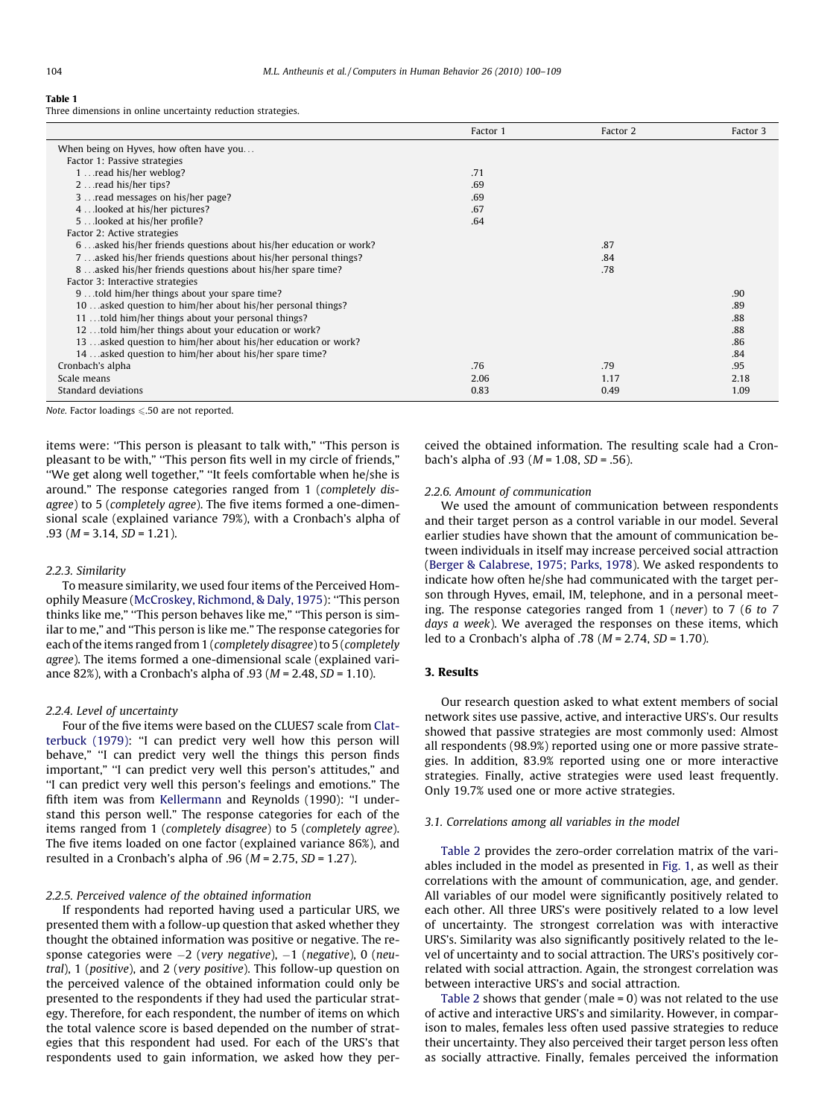<span id="page-4-0"></span>Table 1

Three dimensions in online uncertainty reduction strategies.

|                                                                   | Factor 1 | Factor 2 | Factor 3 |
|-------------------------------------------------------------------|----------|----------|----------|
| When being on Hyves, how often have you                           |          |          |          |
| Factor 1: Passive strategies                                      |          |          |          |
| 1  read his/her weblog?                                           | .71      |          |          |
| 2 read his/her tips?                                              | .69      |          |          |
| 3  read messages on his/her page?                                 | .69      |          |          |
| 4looked at his/her pictures?                                      | .67      |          |          |
| 5looked at his/her profile?                                       | .64      |          |          |
| Factor 2: Active strategies                                       |          |          |          |
| 6asked his/her friends questions about his/her education or work? |          | .87      |          |
| 7asked his/her friends questions about his/her personal things?   |          | .84      |          |
| 8asked his/her friends questions about his/her spare time?        |          | .78      |          |
| Factor 3: Interactive strategies                                  |          |          |          |
| 9 told him/her things about your spare time?                      |          |          | .90      |
| 10. asked question to him/her about his/her personal things?      |          |          | .89      |
| 11 told him/her things about your personal things?                |          |          | .88      |
| 12. told him/her things about your education or work?             |          |          | .88      |
| 13 asked question to him/her about his/her education or work?     |          |          | .86      |
| 14. asked question to him/her about his/her spare time?           |          |          | .84      |
| Cronbach's alpha                                                  | .76      | .79      | .95      |
| Scale means                                                       | 2.06     | 1.17     | 2.18     |
| Standard deviations                                               | 0.83     | 0.49     | 1.09     |

Note. Factor loadings  $\leq 0.50$  are not reported.

items were: "This person is pleasant to talk with," "This person is pleasant to be with," ''This person fits well in my circle of friends," ''We get along well together," ''It feels comfortable when he/she is around." The response categories ranged from 1 (completely disagree) to 5 (completely agree). The five items formed a one-dimensional scale (explained variance 79%), with a Cronbach's alpha of  $.93$  (*M* = 3.14, *SD* = 1.21).

#### 2.2.3. Similarity

To measure similarity, we used four items of the Perceived Homophily Measure [\(McCroskey, Richmond, & Daly, 1975](#page-8-0)): ''This person thinks like me," ''This person behaves like me," ''This person is similar to me," and ''This person is like me." The response categories for each of the items ranged from 1 (completely disagree) to 5 (completely agree). The items formed a one-dimensional scale (explained variance 82%), with a Cronbach's alpha of .93 ( $M = 2.48$ ,  $SD = 1.10$ ).

#### 2.2.4. Level of uncertainty

Four of the five items were based on the CLUES7 scale from [Clat](#page-8-0)[terbuck \(1979\)](#page-8-0): ''I can predict very well how this person will behave," "I can predict very well the things this person finds important," "I can predict very well this person's attitudes," and ''I can predict very well this person's feelings and emotions." The fifth item was from [Kellermann](#page-8-0) and Reynolds (1990): ''I understand this person well." The response categories for each of the items ranged from 1 (completely disagree) to 5 (completely agree). The five items loaded on one factor (explained variance 86%), and resulted in a Cronbach's alpha of .96 ( $M = 2.75$ ,  $SD = 1.27$ ).

## 2.2.5. Perceived valence of the obtained information

If respondents had reported having used a particular URS, we presented them with a follow-up question that asked whether they thought the obtained information was positive or negative. The response categories were –2 (very negative), –1 (negative), 0 (neutral), 1 (positive), and 2 (very positive). This follow-up question on the perceived valence of the obtained information could only be presented to the respondents if they had used the particular strategy. Therefore, for each respondent, the number of items on which the total valence score is based depended on the number of strategies that this respondent had used. For each of the URS's that respondents used to gain information, we asked how they perceived the obtained information. The resulting scale had a Cronbach's alpha of .93 ( $M = 1.08$ ,  $SD = .56$ ).

# 2.2.6. Amount of communication

We used the amount of communication between respondents and their target person as a control variable in our model. Several earlier studies have shown that the amount of communication between individuals in itself may increase perceived social attraction ([Berger & Calabrese, 1975; Parks, 1978](#page-8-0)). We asked respondents to indicate how often he/she had communicated with the target person through Hyves, email, IM, telephone, and in a personal meeting. The response categories ranged from 1 (never) to 7 (6 to 7 days a week). We averaged the responses on these items, which led to a Cronbach's alpha of .78 ( $M = 2.74$ ,  $SD = 1.70$ ).

# 3. Results

Our research question asked to what extent members of social network sites use passive, active, and interactive URS's. Our results showed that passive strategies are most commonly used: Almost all respondents (98.9%) reported using one or more passive strategies. In addition, 83.9% reported using one or more interactive strategies. Finally, active strategies were used least frequently. Only 19.7% used one or more active strategies.

## 3.1. Correlations among all variables in the model

[Table 2](#page-5-0) provides the zero-order correlation matrix of the variables included in the model as presented in [Fig. 1,](#page-2-0) as well as their correlations with the amount of communication, age, and gender. All variables of our model were significantly positively related to each other. All three URS's were positively related to a low level of uncertainty. The strongest correlation was with interactive URS's. Similarity was also significantly positively related to the level of uncertainty and to social attraction. The URS's positively correlated with social attraction. Again, the strongest correlation was between interactive URS's and social attraction.

[Table 2](#page-5-0) shows that gender (male = 0) was not related to the use of active and interactive URS's and similarity. However, in comparison to males, females less often used passive strategies to reduce their uncertainty. They also perceived their target person less often as socially attractive. Finally, females perceived the information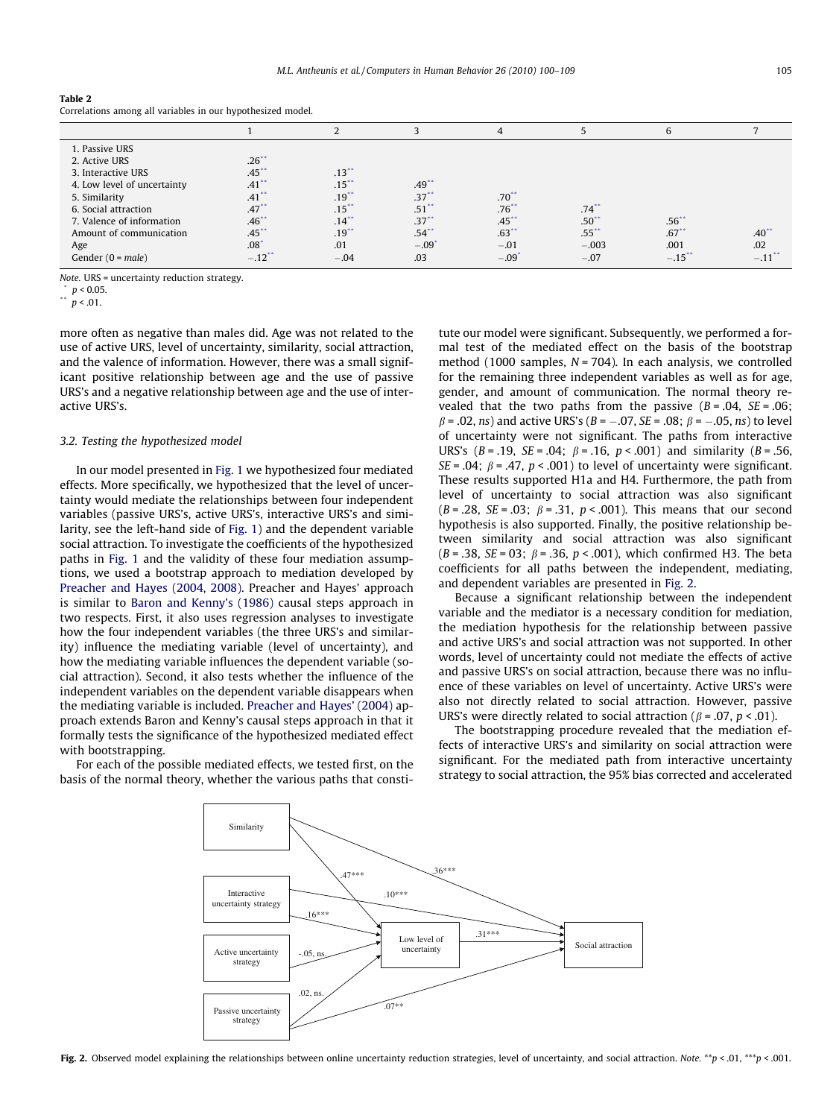#### <span id="page-5-0"></span>Table 2

Correlations among all variables in our hypothesized model.

|                                                                                                                                                                                       |                                                                                             |                                                                                  |                                                       | $\overline{4}$                                        |                               | 6                              |                            |
|---------------------------------------------------------------------------------------------------------------------------------------------------------------------------------------|---------------------------------------------------------------------------------------------|----------------------------------------------------------------------------------|-------------------------------------------------------|-------------------------------------------------------|-------------------------------|--------------------------------|----------------------------|
| 1. Passive URS<br>2. Active URS<br>3. Interactive URS<br>4. Low level of uncertainty<br>5. Similarity<br>6. Social attraction<br>7. Valence of information<br>Amount of communication | $.26**$<br>$.45$ **<br>$.41$ <sup>**</sup><br>$.41$ <sup>**</sup><br>.47<br>.46<br>$.45$ ** | $.13***$<br>$.15$ <sup>**</sup><br>$.19$ <sup>**</sup><br>.15<br>$.14$ **<br>.19 | $.49$ **<br>$.37$ **<br>.51'<br>$.37^{*}$<br>$.54$ ** | .70<br>.76 <sup>°</sup><br>$.45$ <sup>*</sup><br>.63" | .74<br>$.50^{**}$<br>$.55$ ** | $.56***$<br>$.67$ <sup>*</sup> | $.40^{\ast}$               |
| Age<br>Gender $(0 = male)$                                                                                                                                                            | $.08^{\circ}$<br>$-.12$ **                                                                  | .01<br>$-.04$                                                                    | $-.09'$<br>.03                                        | $-.01$<br>$-.09"$                                     | $-.003$<br>$-.07$             | .001<br>$-.15"$                | .02<br>$-.11$ <sup>*</sup> |

Note. URS = uncertainty reduction strategy.

 $\binom{p}{1}$   $p < 0.05$ .

 $p < .01$ .

more often as negative than males did. Age was not related to the use of active URS, level of uncertainty, similarity, social attraction, and the valence of information. However, there was a small significant positive relationship between age and the use of passive URS's and a negative relationship between age and the use of interactive URS's.

## 3.2. Testing the hypothesized model

In our model presented in [Fig. 1](#page-2-0) we hypothesized four mediated effects. More specifically, we hypothesized that the level of uncertainty would mediate the relationships between four independent variables (passive URS's, active URS's, interactive URS's and similarity, see the left-hand side of [Fig. 1](#page-2-0)) and the dependent variable social attraction. To investigate the coefficients of the hypothesized paths in [Fig. 1](#page-2-0) and the validity of these four mediation assumptions, we used a bootstrap approach to mediation developed by [Preacher and Hayes \(2004, 2008\)](#page-8-0). Preacher and Hayes' approach is similar to [Baron and Kenny's \(1986\)](#page-8-0) causal steps approach in two respects. First, it also uses regression analyses to investigate how the four independent variables (the three URS's and similarity) influence the mediating variable (level of uncertainty), and how the mediating variable influences the dependent variable (social attraction). Second, it also tests whether the influence of the independent variables on the dependent variable disappears when the mediating variable is included. [Preacher and Hayes' \(2004\)](#page-8-0) approach extends Baron and Kenny's causal steps approach in that it formally tests the significance of the hypothesized mediated effect with bootstrapping.

For each of the possible mediated effects, we tested first, on the basis of the normal theory, whether the various paths that constitute our model were significant. Subsequently, we performed a formal test of the mediated effect on the basis of the bootstrap method (1000 samples,  $N = 704$ ). In each analysis, we controlled for the remaining three independent variables as well as for age, gender, and amount of communication. The normal theory revealed that the two paths from the passive  $(B=.04, SE=.06;$  $\beta$  = .02, ns) and active URS's (B = -.07, SE = .08;  $\beta$  = -.05, ns) to level of uncertainty were not significant. The paths from interactive URS's  $(B = .19, SE = .04; \beta = .16, p < .001)$  and similarity  $(B = .56,$  $SE = .04$ ;  $\beta = .47$ ,  $p < .001$ ) to level of uncertainty were significant. These results supported H1a and H4. Furthermore, the path from level of uncertainty to social attraction was also significant  $(B = .28, SE = .03; \beta = .31, p < .001)$ . This means that our second hypothesis is also supported. Finally, the positive relationship between similarity and social attraction was also significant ( $B = .38$ ,  $SE = 03$ ;  $\beta = .36$ ,  $p < .001$ ), which confirmed H3. The beta coefficients for all paths between the independent, mediating, and dependent variables are presented in Fig. 2.

Because a significant relationship between the independent variable and the mediator is a necessary condition for mediation, the mediation hypothesis for the relationship between passive and active URS's and social attraction was not supported. In other words, level of uncertainty could not mediate the effects of active and passive URS's on social attraction, because there was no influence of these variables on level of uncertainty. Active URS's were also not directly related to social attraction. However, passive URS's were directly related to social attraction ( $\beta$  = .07,  $p < .01$ ).

The bootstrapping procedure revealed that the mediation effects of interactive URS's and similarity on social attraction were significant. For the mediated path from interactive uncertainty strategy to social attraction, the 95% bias corrected and accelerated



Fig. 2. Observed model explaining the relationships between online uncertainty reduction strategies, level of uncertainty, and social attraction. Note. \*\*p < .01, \*\*\*p < .001.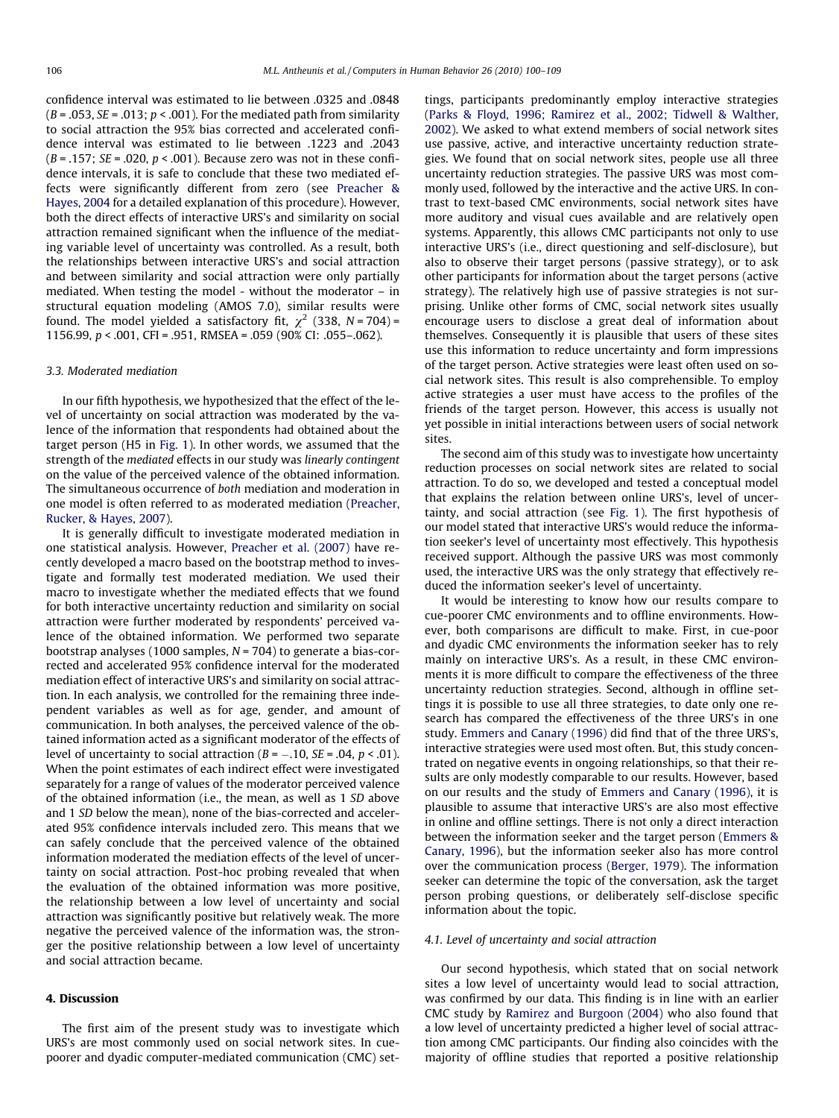confidence interval was estimated to lie between .0325 and .0848  $(B = .053, SE = .013; p < .001)$ . For the mediated path from similarity to social attraction the 95% bias corrected and accelerated confidence interval was estimated to lie between .1223 and .2043  $(B = .157; SE = .020, p < .001)$ . Because zero was not in these confidence intervals, it is safe to conclude that these two mediated effects were significantly different from zero (see [Preacher &](#page-8-0) [Hayes, 2004](#page-8-0) for a detailed explanation of this procedure). However, both the direct effects of interactive URS's and similarity on social attraction remained significant when the influence of the mediating variable level of uncertainty was controlled. As a result, both the relationships between interactive URS's and social attraction and between similarity and social attraction were only partially mediated. When testing the model - without the moderator – in structural equation modeling (AMOS 7.0), similar results were found. The model yielded a satisfactory fit,  $\chi^2$  (338, N = 704) = 1156.99, p < .001, CFI = .951, RMSEA = .059 (90% CI: .055–.062).

#### 3.3. Moderated mediation

In our fifth hypothesis, we hypothesized that the effect of the level of uncertainty on social attraction was moderated by the valence of the information that respondents had obtained about the target person (H5 in [Fig. 1](#page-2-0)). In other words, we assumed that the strength of the mediated effects in our study was linearly contingent on the value of the perceived valence of the obtained information. The simultaneous occurrence of both mediation and moderation in one model is often referred to as moderated mediation [\(Preacher,](#page-8-0) [Rucker, & Hayes, 2007\)](#page-8-0).

It is generally difficult to investigate moderated mediation in one statistical analysis. However, [Preacher et al. \(2007\)](#page-8-0) have recently developed a macro based on the bootstrap method to investigate and formally test moderated mediation. We used their macro to investigate whether the mediated effects that we found for both interactive uncertainty reduction and similarity on social attraction were further moderated by respondents' perceived valence of the obtained information. We performed two separate bootstrap analyses (1000 samples,  $N = 704$ ) to generate a bias-corrected and accelerated 95% confidence interval for the moderated mediation effect of interactive URS's and similarity on social attraction. In each analysis, we controlled for the remaining three independent variables as well as for age, gender, and amount of communication. In both analyses, the perceived valence of the obtained information acted as a significant moderator of the effects of level of uncertainty to social attraction (B = –.10, SE = .04,  $p$  < .01). When the point estimates of each indirect effect were investigated separately for a range of values of the moderator perceived valence of the obtained information (i.e., the mean, as well as 1 SD above and 1 SD below the mean), none of the bias-corrected and accelerated 95% confidence intervals included zero. This means that we can safely conclude that the perceived valence of the obtained information moderated the mediation effects of the level of uncertainty on social attraction. Post-hoc probing revealed that when the evaluation of the obtained information was more positive, the relationship between a low level of uncertainty and social attraction was significantly positive but relatively weak. The more negative the perceived valence of the information was, the stronger the positive relationship between a low level of uncertainty and social attraction became.

## 4. Discussion

The first aim of the present study was to investigate which URS's are most commonly used on social network sites. In cuepoorer and dyadic computer-mediated communication (CMC) settings, participants predominantly employ interactive strategies ([Parks & Floyd, 1996; Ramirez et al., 2002; Tidwell & Walther,](#page-8-0) [2002\)](#page-8-0). We asked to what extend members of social network sites use passive, active, and interactive uncertainty reduction strategies. We found that on social network sites, people use all three uncertainty reduction strategies. The passive URS was most commonly used, followed by the interactive and the active URS. In contrast to text-based CMC environments, social network sites have more auditory and visual cues available and are relatively open systems. Apparently, this allows CMC participants not only to use interactive URS's (i.e., direct questioning and self-disclosure), but also to observe their target persons (passive strategy), or to ask other participants for information about the target persons (active strategy). The relatively high use of passive strategies is not surprising. Unlike other forms of CMC, social network sites usually encourage users to disclose a great deal of information about themselves. Consequently it is plausible that users of these sites use this information to reduce uncertainty and form impressions of the target person. Active strategies were least often used on social network sites. This result is also comprehensible. To employ active strategies a user must have access to the profiles of the friends of the target person. However, this access is usually not yet possible in initial interactions between users of social network sites.

The second aim of this study was to investigate how uncertainty reduction processes on social network sites are related to social attraction. To do so, we developed and tested a conceptual model that explains the relation between online URS's, level of uncertainty, and social attraction (see [Fig. 1\)](#page-2-0). The first hypothesis of our model stated that interactive URS's would reduce the information seeker's level of uncertainty most effectively. This hypothesis received support. Although the passive URS was most commonly used, the interactive URS was the only strategy that effectively reduced the information seeker's level of uncertainty.

It would be interesting to know how our results compare to cue-poorer CMC environments and to offline environments. However, both comparisons are difficult to make. First, in cue-poor and dyadic CMC environments the information seeker has to rely mainly on interactive URS's. As a result, in these CMC environments it is more difficult to compare the effectiveness of the three uncertainty reduction strategies. Second, although in offline settings it is possible to use all three strategies, to date only one research has compared the effectiveness of the three URS's in one study. [Emmers and Canary \(1996\)](#page-8-0) did find that of the three URS's, interactive strategies were used most often. But, this study concentrated on negative events in ongoing relationships, so that their results are only modestly comparable to our results. However, based on our results and the study of [Emmers and Canary \(1996\),](#page-8-0) it is plausible to assume that interactive URS's are also most effective in online and offline settings. There is not only a direct interaction between the information seeker and the target person ([Emmers &](#page-8-0) [Canary, 1996](#page-8-0)), but the information seeker also has more control over the communication process ([Berger, 1979\)](#page-8-0). The information seeker can determine the topic of the conversation, ask the target person probing questions, or deliberately self-disclose specific information about the topic.

## 4.1. Level of uncertainty and social attraction

Our second hypothesis, which stated that on social network sites a low level of uncertainty would lead to social attraction, was confirmed by our data. This finding is in line with an earlier CMC study by [Ramirez and Burgoon \(2004\)](#page-8-0) who also found that a low level of uncertainty predicted a higher level of social attraction among CMC participants. Our finding also coincides with the majority of offline studies that reported a positive relationship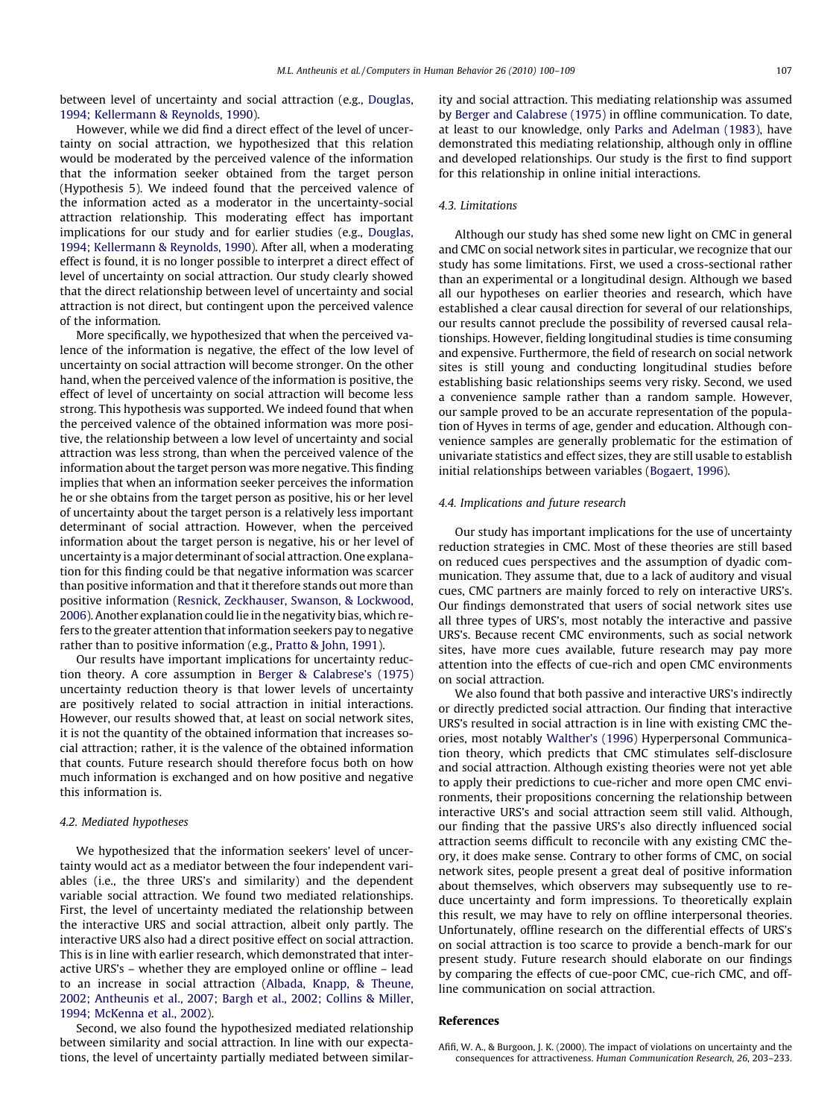<span id="page-7-0"></span>between level of uncertainty and social attraction (e.g., [Douglas,](#page-8-0) [1994; Kellermann & Reynolds, 1990\)](#page-8-0).

However, while we did find a direct effect of the level of uncertainty on social attraction, we hypothesized that this relation would be moderated by the perceived valence of the information that the information seeker obtained from the target person (Hypothesis 5). We indeed found that the perceived valence of the information acted as a moderator in the uncertainty-social attraction relationship. This moderating effect has important implications for our study and for earlier studies (e.g., [Douglas,](#page-8-0) [1994; Kellermann & Reynolds, 1990](#page-8-0)). After all, when a moderating effect is found, it is no longer possible to interpret a direct effect of level of uncertainty on social attraction. Our study clearly showed that the direct relationship between level of uncertainty and social attraction is not direct, but contingent upon the perceived valence of the information.

More specifically, we hypothesized that when the perceived valence of the information is negative, the effect of the low level of uncertainty on social attraction will become stronger. On the other hand, when the perceived valence of the information is positive, the effect of level of uncertainty on social attraction will become less strong. This hypothesis was supported. We indeed found that when the perceived valence of the obtained information was more positive, the relationship between a low level of uncertainty and social attraction was less strong, than when the perceived valence of the information about the target person was more negative. This finding implies that when an information seeker perceives the information he or she obtains from the target person as positive, his or her level of uncertainty about the target person is a relatively less important determinant of social attraction. However, when the perceived information about the target person is negative, his or her level of uncertainty is a major determinant of social attraction. One explanation for this finding could be that negative information was scarcer than positive information and that it therefore stands out more than positive information ([Resnick, Zeckhauser, Swanson, & Lockwood,](#page-8-0) [2006](#page-8-0)). Another explanation could lie in the negativity bias, which refers to the greater attention that information seekers pay to negative rather than to positive information (e.g., [Pratto & John, 1991\)](#page-8-0).

Our results have important implications for uncertainty reduction theory. A core assumption in [Berger & Calabrese's \(1975\)](#page-8-0) uncertainty reduction theory is that lower levels of uncertainty are positively related to social attraction in initial interactions. However, our results showed that, at least on social network sites, it is not the quantity of the obtained information that increases social attraction; rather, it is the valence of the obtained information that counts. Future research should therefore focus both on how much information is exchanged and on how positive and negative this information is.

## 4.2. Mediated hypotheses

We hypothesized that the information seekers' level of uncertainty would act as a mediator between the four independent variables (i.e., the three URS's and similarity) and the dependent variable social attraction. We found two mediated relationships. First, the level of uncertainty mediated the relationship between the interactive URS and social attraction, albeit only partly. The interactive URS also had a direct positive effect on social attraction. This is in line with earlier research, which demonstrated that interactive URS's – whether they are employed online or offline – lead to an increase in social attraction [\(Albada, Knapp, & Theune,](#page-8-0) [2002; Antheunis et al., 2007; Bargh et al., 2002; Collins & Miller,](#page-8-0) [1994; McKenna et al., 2002](#page-8-0)).

Second, we also found the hypothesized mediated relationship between similarity and social attraction. In line with our expectations, the level of uncertainty partially mediated between similarity and social attraction. This mediating relationship was assumed by [Berger and Calabrese \(1975\)](#page-8-0) in offline communication. To date, at least to our knowledge, only [Parks and Adelman \(1983\)](#page-8-0), have demonstrated this mediating relationship, although only in offline and developed relationships. Our study is the first to find support for this relationship in online initial interactions.

## 4.3. Limitations

Although our study has shed some new light on CMC in general and CMC on social network sites in particular, we recognize that our study has some limitations. First, we used a cross-sectional rather than an experimental or a longitudinal design. Although we based all our hypotheses on earlier theories and research, which have established a clear causal direction for several of our relationships, our results cannot preclude the possibility of reversed causal relationships. However, fielding longitudinal studies is time consuming and expensive. Furthermore, the field of research on social network sites is still young and conducting longitudinal studies before establishing basic relationships seems very risky. Second, we used a convenience sample rather than a random sample. However, our sample proved to be an accurate representation of the population of Hyves in terms of age, gender and education. Although convenience samples are generally problematic for the estimation of univariate statistics and effect sizes, they are still usable to establish initial relationships between variables ([Bogaert, 1996\)](#page-8-0).

## 4.4. Implications and future research

Our study has important implications for the use of uncertainty reduction strategies in CMC. Most of these theories are still based on reduced cues perspectives and the assumption of dyadic communication. They assume that, due to a lack of auditory and visual cues, CMC partners are mainly forced to rely on interactive URS's. Our findings demonstrated that users of social network sites use all three types of URS's, most notably the interactive and passive URS's. Because recent CMC environments, such as social network sites, have more cues available, future research may pay more attention into the effects of cue-rich and open CMC environments on social attraction.

We also found that both passive and interactive URS's indirectly or directly predicted social attraction. Our finding that interactive URS's resulted in social attraction is in line with existing CMC theories, most notably [Walther's \(1996\)](#page-9-0) Hyperpersonal Communication theory, which predicts that CMC stimulates self-disclosure and social attraction. Although existing theories were not yet able to apply their predictions to cue-richer and more open CMC environments, their propositions concerning the relationship between interactive URS's and social attraction seem still valid. Although, our finding that the passive URS's also directly influenced social attraction seems difficult to reconcile with any existing CMC theory, it does make sense. Contrary to other forms of CMC, on social network sites, people present a great deal of positive information about themselves, which observers may subsequently use to reduce uncertainty and form impressions. To theoretically explain this result, we may have to rely on offline interpersonal theories. Unfortunately, offline research on the differential effects of URS's on social attraction is too scarce to provide a bench-mark for our present study. Future research should elaborate on our findings by comparing the effects of cue-poor CMC, cue-rich CMC, and offline communication on social attraction.

# References

Afifi, W. A., & Burgoon, J. K. (2000). The impact of violations on uncertainty and the consequences for attractiveness. Human Communication Research, 26, 203–233.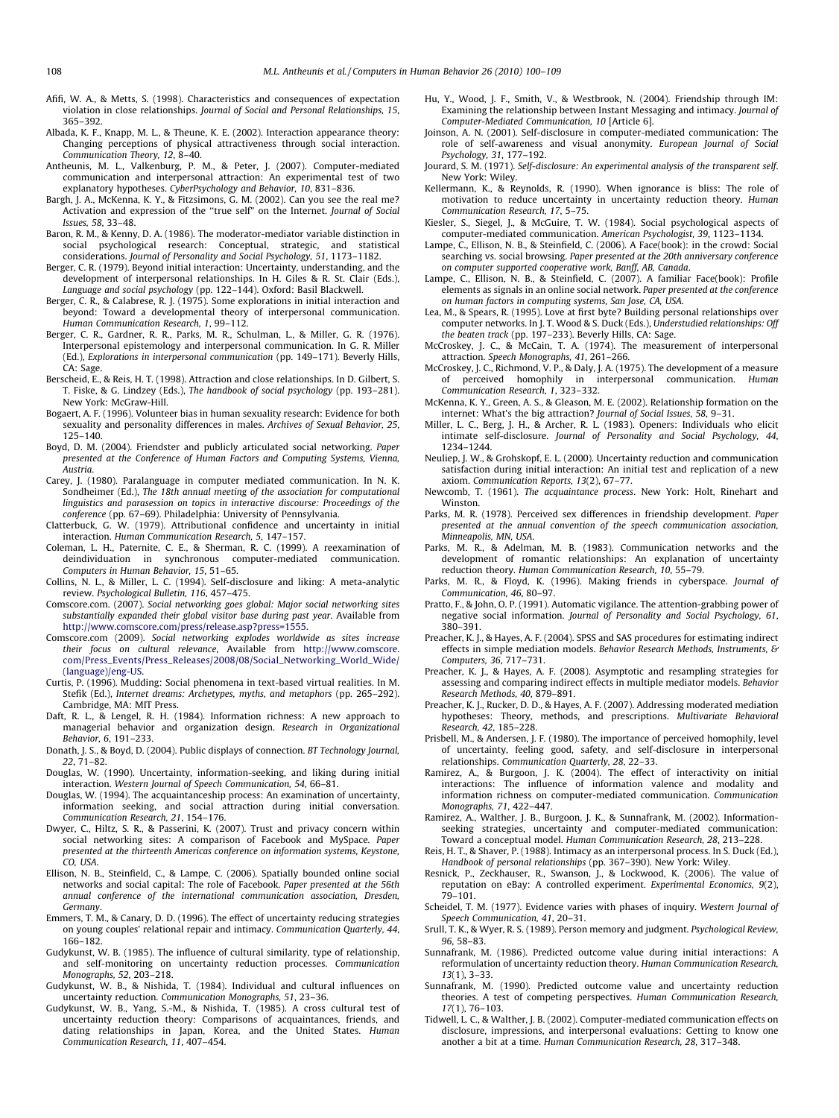- <span id="page-8-0"></span>Afifi, W. A., & Metts, S. (1998). Characteristics and consequences of expectation violation in close relationships. Journal of Social and Personal Relationships, 15, 365–392.
- Albada, K. F., Knapp, M. L., & Theune, K. E. (2002). Interaction appearance theory: Changing perceptions of physical attractiveness through social interaction. Communication Theory, 12, 8–40.
- Antheunis, M. L., Valkenburg, P. M., & Peter, J. (2007). Computer-mediated communication and interpersonal attraction: An experimental test of two explanatory hypotheses. CyberPsychology and Behavior, 10, 831–836.
- Bargh, J. A., McKenna, K. Y., & Fitzsimons, G. M. (2002). Can you see the real me? Activation and expression of the ''true self" on the Internet. Journal of Social Issues, 58, 33–48.
- Baron, R. M., & Kenny, D. A. (1986). The moderator-mediator variable distinction in social psychological research: Conceptual, strategic, and statistical considerations. Journal of Personality and Social Psychology, 51, 1173–1182.
- Berger, C. R. (1979). Beyond initial interaction: Uncertainty, understanding, and the development of interpersonal relationships. In H. Giles & R. St. Clair (Eds.), Language and social psychology (pp. 122–144). Oxford: Basil Blackwell.
- Berger, C. R., & Calabrese, R. J. (1975). Some explorations in initial interaction and beyond: Toward a developmental theory of interpersonal communication. Human Communication Research, 1, 99–112.
- Berger, C. R., Gardner, R. R., Parks, M. R., Schulman, L., & Miller, G. R. (1976). Interpersonal epistemology and interpersonal communication. In G. R. Miller (Ed.), Explorations in interpersonal communication (pp. 149–171). Beverly Hills, CA: Sage.
- Berscheid, E., & Reis, H. T. (1998). Attraction and close relationships. In D. Gilbert, S. T. Fiske, & G. Lindzey (Eds.), The handbook of social psychology (pp. 193–281). New York: McGraw-Hill.
- Bogaert, A. F. (1996). Volunteer bias in human sexuality research: Evidence for both sexuality and personality differences in males. Archives of Sexual Behavior, 25, 125–140.
- Boyd, D. M. (2004). Friendster and publicly articulated social networking. Paper presented at the Conference of Human Factors and Computing Systems, Vienna, Austria.
- Carey, J. (1980). Paralanguage in computer mediated communication. In N. K. Sondheimer (Ed.), The 18th annual meeting of the association for computational linguistics and parasession on topics in interactive discourse: Proceedings of the conference (pp. 67–69). Philadelphia: University of Pennsylvania.
- Clatterbuck, G. W. (1979). Attributional confidence and uncertainty in initial interaction. Human Communication Research, 5, 147–157.
- Coleman, L. H., Paternite, C. E., & Sherman, R. C. (1999). A reexamination of deindividuation in synchronous computer-mediated communication. Computers in Human Behavior, 15, 51–65.
- Collins, N. L., & Miller, L. C. (1994). Self-disclosure and liking: A meta-analytic review. Psychological Bulletin, 116, 457–475.
- Comscore.com. (2007). Social networking goes global: Major social networking sites substantially expanded their global visitor base during past year. Available from [http://www.comscore.com/press/release.asp?press=1555.](http://www.comscore.com/press/release.asp?press=1555)
- Comscore.com (2009). Social networking explodes worldwide as sites increase their focus on cultural relevance, Available from [http://www.comscore.](http://www.comscore.com/Press_Events/Press_Releases/2008/08/Social_Networking_World_Wide/(language)/eng-US) [com/Press\\_Events/Press\\_Releases/2008/08/Social\\_Networking\\_World\\_Wide/](http://www.comscore.com/Press_Events/Press_Releases/2008/08/Social_Networking_World_Wide/(language)/eng-US) [\(language\)/eng-US.](http://www.comscore.com/Press_Events/Press_Releases/2008/08/Social_Networking_World_Wide/(language)/eng-US)
- Curtis, P. (1996). Mudding: Social phenomena in text-based virtual realities. In M. Stefik (Ed.), Internet dreams: Archetypes, myths, and metaphors (pp. 265–292). Cambridge, MA: MIT Press.
- Daft, R. L., & Lengel, R. H. (1984). Information richness: A new approach to managerial behavior and organization design. Research in Organizational Behavior, 6, 191–233.
- Donath, J. S., & Boyd, D. (2004). Public displays of connection. BT Technology Journal, 22, 71–82.
- Douglas, W. (1990). Uncertainty, information-seeking, and liking during initial interaction. Western Journal of Speech Communication, 54, 66–81.
- Douglas, W. (1994). The acquaintanceship process: An examination of uncertainty, information seeking, and social attraction during initial conversation. Communication Research, 21, 154–176.
- Dwyer, C., Hiltz, S. R., & Passerini, K. (2007). Trust and privacy concern within social networking sites: A comparison of Facebook and MySpace. Paper presented at the thirteenth Americas conference on information systems, Keystone, CO, USA.
- Ellison, N. B., Steinfield, C., & Lampe, C. (2006). Spatially bounded online social networks and social capital: The role of Facebook. Paper presented at the 56th annual conference of the international communication association, Dresden, Germany.
- Emmers, T. M., & Canary, D. D. (1996). The effect of uncertainty reducing strategies on young couples' relational repair and intimacy. Communication Quarterly, 44, 166–182.
- Gudykunst, W. B. (1985). The influence of cultural similarity, type of relationship, and self-monitoring on uncertainty reduction processes. Communication Monographs, 52, 203–218.
- Gudykunst, W. B., & Nishida, T. (1984). Individual and cultural influences on uncertainty reduction. Communication Monographs, 51, 23–36.
- Gudykunst, W. B., Yang, S.-M., & Nishida, T. (1985). A cross cultural test of uncertainty reduction theory: Comparisons of acquaintances, friends, and dating relationships in Japan, Korea, and the United States. Human Communication Research, 11, 407–454.
- Hu, Y., Wood, J. F., Smith, V., & Westbrook, N. (2004). Friendship through IM: Examining the relationship between Instant Messaging and intimacy. Journal of Computer-Mediated Communication, 10 [Article 6].
- Joinson, A. N. (2001). Self-disclosure in computer-mediated communication: The role of self-awareness and visual anonymity. European Journal of Social Psychology, 31, 177–192.
- Jourard, S. M. (1971). Self-disclosure: An experimental analysis of the transparent self. New York: Wiley.
- Kellermann, K., & Reynolds, R. (1990). When ignorance is bliss: The role of motivation to reduce uncertainty in uncertainty reduction theory. Human Communication Research, 17, 5–75.
- Kiesler, S., Siegel, J., & McGuire, T. W. (1984). Social psychological aspects of computer-mediated communication. American Psychologist, 39, 1123–1134.
- Lampe, C., Ellison, N. B., & Steinfield, C. (2006). A Face(book): in the crowd: Social searching vs. social browsing. Paper presented at the 20th anniversary conference on computer supported cooperative work, Banff, AB, Canada.
- Lampe, C., Ellison, N. B., & Steinfield, C. (2007). A familiar Face(book): Profile elements as signals in an online social network. Paper presented at the conference on human factors in computing systems, San Jose, CA, USA.
- Lea, M., & Spears, R. (1995). Love at first byte? Building personal relationships over computer networks. In J. T. Wood & S. Duck (Eds.), Understudied relationships: Off the beaten track (pp. 197–233). Beverly Hills, CA: Sage.
- McCroskey, J. C., & McCain, T. A. (1974). The measurement of interpersonal attraction. Speech Monographs, 41, 261–266.
- McCroskey, J. C., Richmond, V. P., & Daly, J. A. (1975). The development of a measure of perceived homophily in interpersonal communication. Human Communication Research, 1, 323–332.
- McKenna, K. Y., Green, A. S., & Gleason, M. E. (2002). Relationship formation on the internet: What's the big attraction? Journal of Social Issues, 58, 9–31.
- Miller, L. C., Berg, J. H., & Archer, R. L. (1983). Openers: Individuals who elicit intimate self-disclosure. Journal of Personality and Social Psychology, 44, 1234–1244.
- Neuliep, J. W., & Grohskopf, E. L. (2000). Uncertainty reduction and communication satisfaction during initial interaction: An initial test and replication of a new axiom. Communication Reports, 13(2), 67–77.
- Newcomb, T. (1961). The acquaintance process. New York: Holt, Rinehart and Winston.
- Parks, M. R. (1978). Perceived sex differences in friendship development. Paper presented at the annual convention of the speech communication association, Minneapolis, MN, USA.
- Parks, M. R., & Adelman, M. B. (1983). Communication networks and the development of romantic relationships: An explanation of uncertainty reduction theory. Human Communication Research, 10, 55–79.
- Parks, M. R., & Floyd, K. (1996). Making friends in cyberspace. Journal of Communication, 46, 80–97.
- Pratto, F., & John, O. P. (1991). Automatic vigilance. The attention-grabbing power of negative social information. Journal of Personality and Social Psychology, 61, 380–391.
- Preacher, K. J., & Hayes, A. F. (2004). SPSS and SAS procedures for estimating indirect effects in simple mediation models. Behavior Research Methods, Instruments, & Computers, 36, 717–731.
- Preacher, K. J., & Hayes, A. F. (2008). Asymptotic and resampling strategies for assessing and comparing indirect effects in multiple mediator models. Behavior Research Methods, 40, 879–891.
- Preacher, K. J., Rucker, D. D., & Hayes, A. F. (2007). Addressing moderated mediation hypotheses: Theory, methods, and prescriptions. Multivariate Behavioral Research, 42, 185–228.
- Prisbell, M., & Andersen, J. F. (1980). The importance of perceived homophily, level of uncertainty, feeling good, safety, and self-disclosure in interpersonal relationships. Communication Quarterly, 28, 22–33.
- Ramirez, A., & Burgoon, J. K. (2004). The effect of interactivity on initial interactions: The influence of information valence and modality and information richness on computer-mediated communication. Communication Monographs, 71, 422–447.
- Ramirez, A., Walther, J. B., Burgoon, J. K., & Sunnafrank, M. (2002). Informationseeking strategies, uncertainty and computer-mediated communication: Toward a conceptual model. Human Communication Research, 28, 213–228.
- Reis, H. T., & Shaver, P. (1988). Intimacy as an interpersonal process. In S. Duck (Ed.), Handbook of personal relationships (pp. 367–390). New York: Wiley.
- Resnick, P., Zeckhauser, R., Swanson, J., & Lockwood, K. (2006). The value of reputation on eBay: A controlled experiment. Experimental Economics, 9(2), 79–101.
- Scheidel, T. M. (1977). Evidence varies with phases of inquiry. Western Journal of Speech Communication, 41, 20–31.
- Srull, T. K., & Wyer, R. S. (1989). Person memory and judgment. Psychological Review, 96, 58–83.
- Sunnafrank, M. (1986). Predicted outcome value during initial interactions: A reformulation of uncertainty reduction theory. Human Communication Research, 13(1), 3–33.
- Sunnafrank, M. (1990). Predicted outcome value and uncertainty reduction theories. A test of competing perspectives. Human Communication Research, 17(1), 76–103.
- Tidwell, L. C., & Walther, J. B. (2002). Computer-mediated communication effects on disclosure, impressions, and interpersonal evaluations: Getting to know one another a bit at a time. Human Communication Research, 28, 317–348.